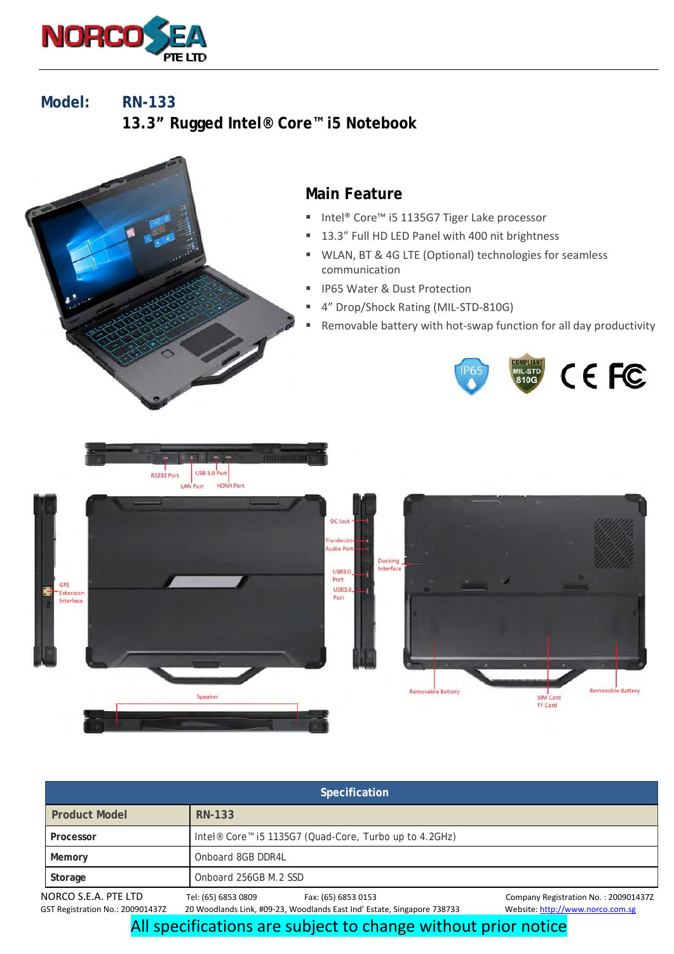

**Model: RN-133 13.3" Rugged Intel® Core™ i5 Notebook** 



| Specification                                            |                                                                                                                       |                                                                          |  |
|----------------------------------------------------------|-----------------------------------------------------------------------------------------------------------------------|--------------------------------------------------------------------------|--|
| <b>Product Model</b>                                     | RN-133                                                                                                                |                                                                          |  |
| Processor                                                | Intel <sup>®</sup> Core <sup>™</sup> i5 1135G7 (Quad-Core, Turbo up to 4.2GHz)                                        |                                                                          |  |
| Memory                                                   | Onboard 8GB DDR4L                                                                                                     |                                                                          |  |
| Storage                                                  | Onboard 256GB M.2 SSD                                                                                                 |                                                                          |  |
| NORCO S.E.A. PTE LTD<br>GST Registration No.: 200901437Z | Tel: (65) 6853 0809<br>Fax: (65) 6853 0153<br>20 Woodlands Link, #09-23, Woodlands East Ind' Estate, Singapore 738733 | Company Registration No.: 200901437Z<br>Website: http://www.norco.com.sg |  |

All specifications are subject to change without prior notice